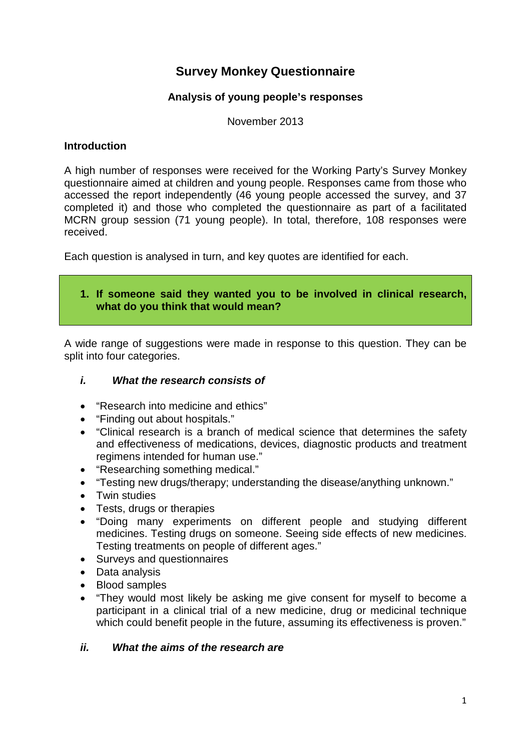# **Survey Monkey Questionnaire**

### **Analysis of young people's responses**

November 2013

#### **Introduction**

A high number of responses were received for the Working Party's Survey Monkey questionnaire aimed at children and young people. Responses came from those who accessed the report independently (46 young people accessed the survey, and 37 completed it) and those who completed the questionnaire as part of a facilitated MCRN group session (71 young people). In total, therefore, 108 responses were received.

Each question is analysed in turn, and key quotes are identified for each.

### **1. If someone said they wanted you to be involved in clinical research, what do you think that would mean?**

A wide range of suggestions were made in response to this question. They can be split into four categories.

### *i. What the research consists of*

- "Research into medicine and ethics"
- "Finding out about hospitals."
- "Clinical research is a branch of medical science that determines the safety and effectiveness of medications, devices, diagnostic products and treatment regimens intended for human use."
- "Researching something medical."
- "Testing new drugs/therapy; understanding the disease/anything unknown."
- Twin studies
- Tests, drugs or therapies
- "Doing many experiments on different people and studying different medicines. Testing drugs on someone. Seeing side effects of new medicines. Testing treatments on people of different ages."
- Surveys and questionnaires
- Data analysis
- Blood samples
- "They would most likely be asking me give consent for myself to become a participant in a clinical trial of a new medicine, drug or medicinal technique which could benefit people in the future, assuming its effectiveness is proven."

#### *ii. What the aims of the research are*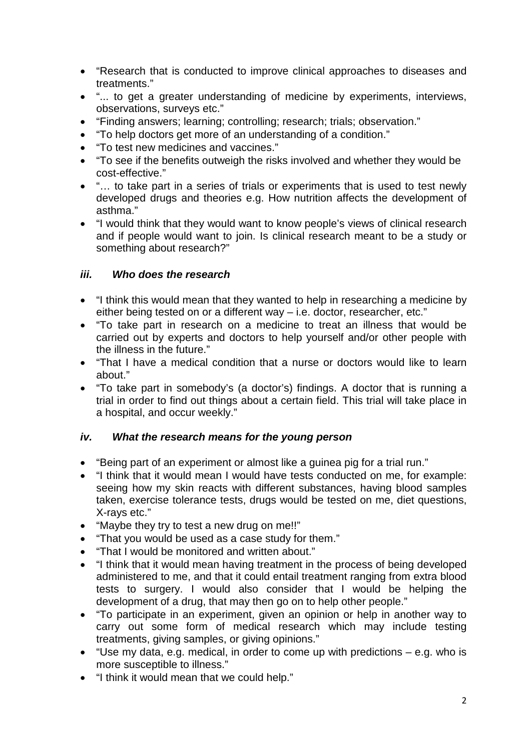- "Research that is conducted to improve clinical approaches to diseases and treatments."
- "... to get a greater understanding of medicine by experiments, interviews, observations, surveys etc."
- "Finding answers; learning; controlling; research; trials; observation."
- "To help doctors get more of an understanding of a condition."
- "To test new medicines and vaccines."
- "To see if the benefits outweigh the risks involved and whether they would be cost-effective."
- "… to take part in a series of trials or experiments that is used to test newly developed drugs and theories e.g. How nutrition affects the development of asthma."
- "I would think that they would want to know people's views of clinical research and if people would want to join. Is clinical research meant to be a study or something about research?"

## *iii. Who does the research*

- "I think this would mean that they wanted to help in researching a medicine by either being tested on or a different way – i.e. doctor, researcher, etc."
- "To take part in research on a medicine to treat an illness that would be carried out by experts and doctors to help yourself and/or other people with the illness in the future."
- "That I have a medical condition that a nurse or doctors would like to learn about."
- "To take part in somebody's (a doctor's) findings. A doctor that is running a trial in order to find out things about a certain field. This trial will take place in a hospital, and occur weekly."

## *iv. What the research means for the young person*

- "Being part of an experiment or almost like a guinea pig for a trial run."
- "I think that it would mean I would have tests conducted on me, for example: seeing how my skin reacts with different substances, having blood samples taken, exercise tolerance tests, drugs would be tested on me, diet questions, X-rays etc."
- "Maybe they try to test a new drug on me!!"
- "That you would be used as a case study for them."
- "That I would be monitored and written about."
- "I think that it would mean having treatment in the process of being developed administered to me, and that it could entail treatment ranging from extra blood tests to surgery. I would also consider that I would be helping the development of a drug, that may then go on to help other people."
- "To participate in an experiment, given an opinion or help in another way to carry out some form of medical research which may include testing treatments, giving samples, or giving opinions."
- "Use my data, e.g. medical, in order to come up with predictions e.g. who is more susceptible to illness."
- "I think it would mean that we could help."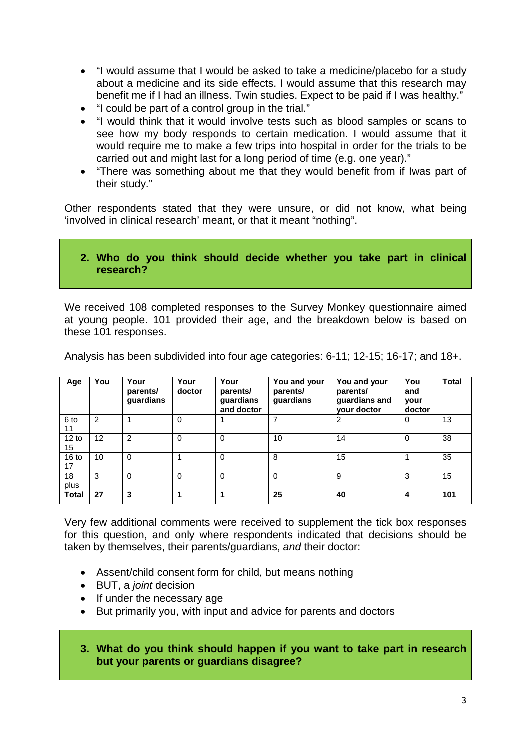- "I would assume that I would be asked to take a medicine/placebo for a study about a medicine and its side effects. I would assume that this research may benefit me if I had an illness. Twin studies. Expect to be paid if I was healthy."
- "I could be part of a control group in the trial."
- "I would think that it would involve tests such as blood samples or scans to see how my body responds to certain medication. I would assume that it would require me to make a few trips into hospital in order for the trials to be carried out and might last for a long period of time (e.g. one year)."
- "There was something about me that they would benefit from if Iwas part of their study."

Other respondents stated that they were unsure, or did not know, what being 'involved in clinical research' meant, or that it meant "nothing".

### **2. Who do you think should decide whether you take part in clinical research?**

We received 108 completed responses to the Survey Monkey questionnaire aimed at young people. 101 provided their age, and the breakdown below is based on these 101 responses.

Analysis has been subdivided into four age categories: 6-11; 12-15; 16-17; and 18+.

| Age                    | You | Your<br>parents/<br>guardians | Your<br>doctor | Your<br>parents/<br>guardians<br>and doctor | You and your<br>parents/<br>guardians | You and your<br>parents/<br>guardians and<br>your doctor | You<br>and<br>your<br>doctor | <b>Total</b> |
|------------------------|-----|-------------------------------|----------------|---------------------------------------------|---------------------------------------|----------------------------------------------------------|------------------------------|--------------|
| 6 to<br>11             | 2   |                               | $\Omega$       |                                             |                                       | $\overline{2}$                                           | $\Omega$                     | 13           |
| 12 to<br>15            | 12  | $\overline{2}$                | $\Omega$       | $\Omega$                                    | 10                                    | 14                                                       | $\Omega$                     | 38           |
| 16 <sub>to</sub><br>17 | 10  | $\Omega$                      |                | 0                                           | 8                                     | 15                                                       |                              | 35           |
| 18<br>plus             | 3   | $\Omega$                      | $\Omega$       | $\Omega$                                    | $\Omega$                              | 9                                                        | 3                            | 15           |
| <b>Total</b>           | 27  | 3                             |                |                                             | 25                                    | 40                                                       | 4                            | 101          |

Very few additional comments were received to supplement the tick box responses for this question, and only where respondents indicated that decisions should be taken by themselves, their parents/guardians, *and* their doctor:

- Assent/child consent form for child, but means nothing
- BUT, a *joint* decision
- If under the necessary age
- But primarily you, with input and advice for parents and doctors

#### **3. What do you think should happen if you want to take part in research but your parents or guardians disagree?**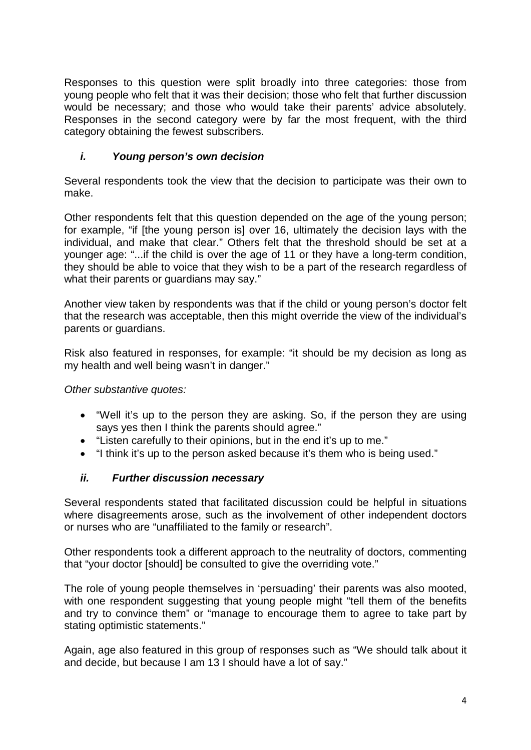Responses to this question were split broadly into three categories: those from young people who felt that it was their decision; those who felt that further discussion would be necessary; and those who would take their parents' advice absolutely. Responses in the second category were by far the most frequent, with the third category obtaining the fewest subscribers.

# *i. Young person's own decision*

Several respondents took the view that the decision to participate was their own to make.

Other respondents felt that this question depended on the age of the young person; for example, "if [the young person is] over 16, ultimately the decision lays with the individual, and make that clear." Others felt that the threshold should be set at a younger age: "...if the child is over the age of 11 or they have a long-term condition, they should be able to voice that they wish to be a part of the research regardless of what their parents or quardians may say."

Another view taken by respondents was that if the child or young person's doctor felt that the research was acceptable, then this might override the view of the individual's parents or guardians.

Risk also featured in responses, for example: "it should be my decision as long as my health and well being wasn't in danger."

*Other substantive quotes:*

- "Well it's up to the person they are asking. So, if the person they are using says yes then I think the parents should agree."
- "Listen carefully to their opinions, but in the end it's up to me."
- "I think it's up to the person asked because it's them who is being used."

## *ii. Further discussion necessary*

Several respondents stated that facilitated discussion could be helpful in situations where disagreements arose, such as the involvement of other independent doctors or nurses who are "unaffiliated to the family or research".

Other respondents took a different approach to the neutrality of doctors, commenting that "your doctor [should] be consulted to give the overriding vote."

The role of young people themselves in 'persuading' their parents was also mooted, with one respondent suggesting that young people might "tell them of the benefits and try to convince them" or "manage to encourage them to agree to take part by stating optimistic statements."

Again, age also featured in this group of responses such as "We should talk about it and decide, but because I am 13 I should have a lot of say."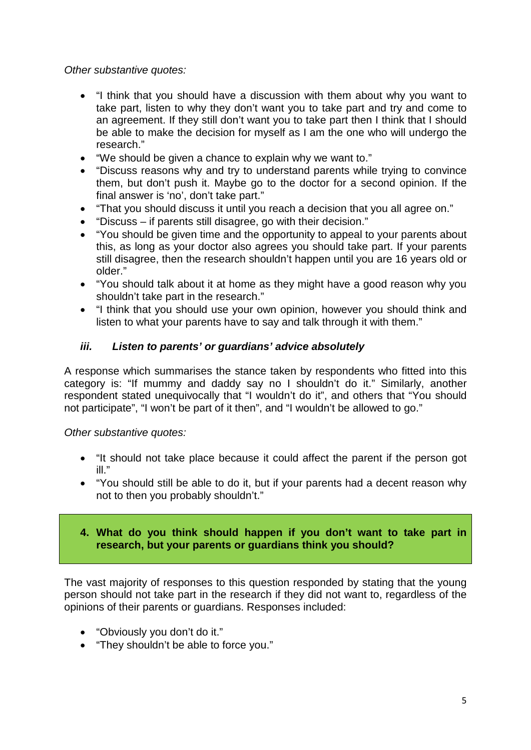*Other substantive quotes:*

- "I think that you should have a discussion with them about why you want to take part, listen to why they don't want you to take part and try and come to an agreement. If they still don't want you to take part then I think that I should be able to make the decision for myself as I am the one who will undergo the research."
- "We should be given a chance to explain why we want to."
- "Discuss reasons why and try to understand parents while trying to convince them, but don't push it. Maybe go to the doctor for a second opinion. If the final answer is 'no', don't take part."
- "That you should discuss it until you reach a decision that you all agree on."
- "Discuss if parents still disagree, go with their decision."
- "You should be given time and the opportunity to appeal to your parents about this, as long as your doctor also agrees you should take part. If your parents still disagree, then the research shouldn't happen until you are 16 years old or older."
- "You should talk about it at home as they might have a good reason why you shouldn't take part in the research."
- "I think that you should use your own opinion, however you should think and listen to what your parents have to say and talk through it with them."

# *iii. Listen to parents' or guardians' advice absolutely*

A response which summarises the stance taken by respondents who fitted into this category is: "If mummy and daddy say no I shouldn't do it." Similarly, another respondent stated unequivocally that "I wouldn't do it", and others that "You should not participate", "I won't be part of it then", and "I wouldn't be allowed to go."

*Other substantive quotes:*

- "It should not take place because it could affect the parent if the person got ill."
- "You should still be able to do it, but if your parents had a decent reason why not to then you probably shouldn't."

## **4. What do you think should happen if you don't want to take part in research, but your parents or guardians think you should?**

The vast majority of responses to this question responded by stating that the young person should not take part in the research if they did not want to, regardless of the opinions of their parents or guardians. Responses included:

- "Obviously you don't do it."
- "They shouldn't be able to force you."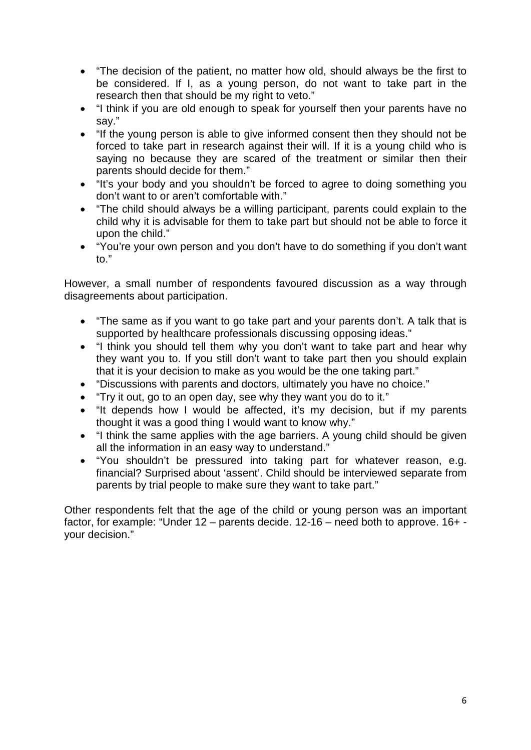- "The decision of the patient, no matter how old, should always be the first to be considered. If I, as a young person, do not want to take part in the research then that should be my right to veto."
- "I think if you are old enough to speak for yourself then your parents have no say."
- "If the young person is able to give informed consent then they should not be forced to take part in research against their will. If it is a young child who is saying no because they are scared of the treatment or similar then their parents should decide for them."
- "It's your body and you shouldn't be forced to agree to doing something you don't want to or aren't comfortable with."
- "The child should always be a willing participant, parents could explain to the child why it is advisable for them to take part but should not be able to force it upon the child."
- "You're your own person and you don't have to do something if you don't want to."

However, a small number of respondents favoured discussion as a way through disagreements about participation.

- "The same as if you want to go take part and your parents don't. A talk that is supported by healthcare professionals discussing opposing ideas."
- "I think you should tell them why you don't want to take part and hear why they want you to. If you still don't want to take part then you should explain that it is your decision to make as you would be the one taking part."
- "Discussions with parents and doctors, ultimately you have no choice."
- "Try it out, go to an open day, see why they want you do to it."
- "It depends how I would be affected, it's my decision, but if my parents thought it was a good thing I would want to know why."
- "I think the same applies with the age barriers. A young child should be given all the information in an easy way to understand."
- "You shouldn't be pressured into taking part for whatever reason, e.g. financial? Surprised about 'assent'. Child should be interviewed separate from parents by trial people to make sure they want to take part."

Other respondents felt that the age of the child or young person was an important factor, for example: "Under 12 – parents decide. 12-16 – need both to approve. 16+ your decision."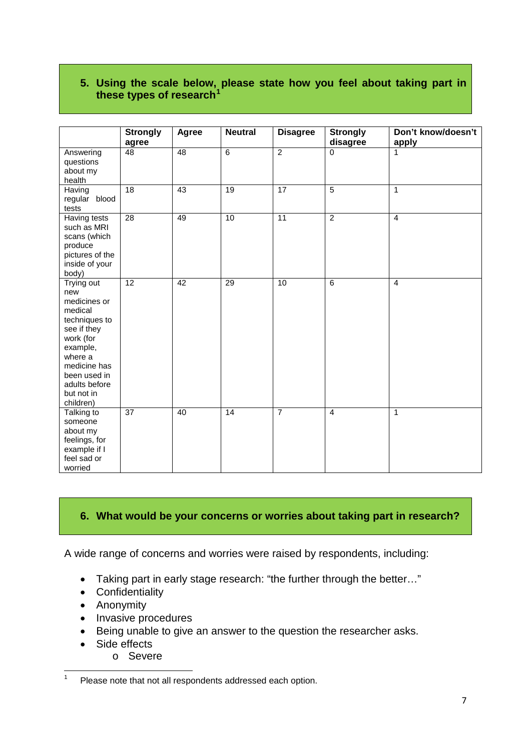### **5. Using the scale below, please state how you feel about taking part in these types of research[1](#page-6-0)**

|                                                                                                                                                                                              | <b>Strongly</b> | Agree           | <b>Neutral</b>  | <b>Disagree</b> | <b>Strongly</b> | Don't know/doesn't |
|----------------------------------------------------------------------------------------------------------------------------------------------------------------------------------------------|-----------------|-----------------|-----------------|-----------------|-----------------|--------------------|
|                                                                                                                                                                                              | agree           |                 |                 |                 | disagree        | apply              |
| Answering<br>questions<br>about my<br>health                                                                                                                                                 | 48              | $\overline{48}$ | $\overline{6}$  | $\overline{2}$  | $\Omega$        | $\mathbf{1}$       |
| Having<br>regular blood<br>tests                                                                                                                                                             | $\overline{18}$ | $\overline{43}$ | $\overline{19}$ | $\overline{17}$ | $\overline{5}$  | $\mathbf{1}$       |
| <b>Having tests</b><br>such as MRI<br>scans (which<br>produce<br>pictures of the<br>inside of your<br>body)                                                                                  | $\overline{28}$ | 49              | 10              | $\overline{11}$ | $\overline{2}$  | $\overline{4}$     |
| Trying out<br>new<br>medicines or<br>medical<br>techniques to<br>see if they<br>work (for<br>example,<br>where a<br>medicine has<br>been used in<br>adults before<br>but not in<br>children) | 12              | 42              | 29              | 10              | 6               | $\overline{4}$     |
| Talking to<br>someone<br>about my<br>feelings, for<br>example if I<br>feel sad or<br>worried                                                                                                 | 37              | 40              | 14              | $\overline{7}$  | $\overline{4}$  | $\mathbf{1}$       |

### **6. What would be your concerns or worries about taking part in research?**

A wide range of concerns and worries were raised by respondents, including:

- Taking part in early stage research: "the further through the better…"
- Confidentiality
- Anonymity
- Invasive procedures
- Being unable to give an answer to the question the researcher asks.
- Side effects
	- o Severe

<span id="page-6-0"></span> $1$  Please note that not all respondents addressed each option.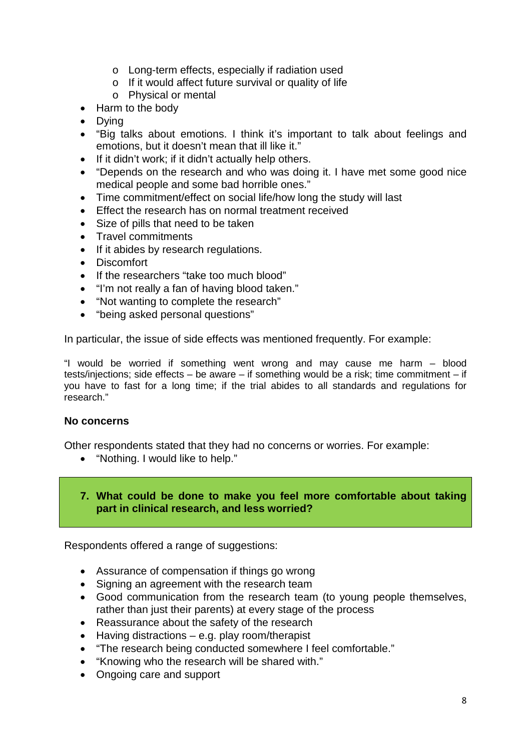- o Long-term effects, especially if radiation used
- o If it would affect future survival or quality of life
- o Physical or mental
- Harm to the body
- Dying
- "Big talks about emotions. I think it's important to talk about feelings and emotions, but it doesn't mean that ill like it."
- If it didn't work; if it didn't actually help others.
- "Depends on the research and who was doing it. I have met some good nice medical people and some bad horrible ones."
- Time commitment/effect on social life/how long the study will last
- Effect the research has on normal treatment received
- Size of pills that need to be taken
- Travel commitments
- If it abides by research regulations.
- Discomfort
- If the researchers "take too much blood"
- "I'm not really a fan of having blood taken."
- "Not wanting to complete the research"
- "being asked personal questions"

In particular, the issue of side effects was mentioned frequently. For example:

"I would be worried if something went wrong and may cause me harm – blood tests/injections; side effects – be aware – if something would be a risk; time commitment – if you have to fast for a long time; if the trial abides to all standards and regulations for research."

### **No concerns**

Other respondents stated that they had no concerns or worries. For example:

• "Nothing. I would like to help."

**7. What could be done to make you feel more comfortable about taking part in clinical research, and less worried?**

Respondents offered a range of suggestions:

- Assurance of compensation if things go wrong
- Signing an agreement with the research team
- Good communication from the research team (to young people themselves, rather than just their parents) at every stage of the process
- Reassurance about the safety of the research
- Having distractions e.g. play room/therapist
- "The research being conducted somewhere I feel comfortable."
- "Knowing who the research will be shared with."
- Ongoing care and support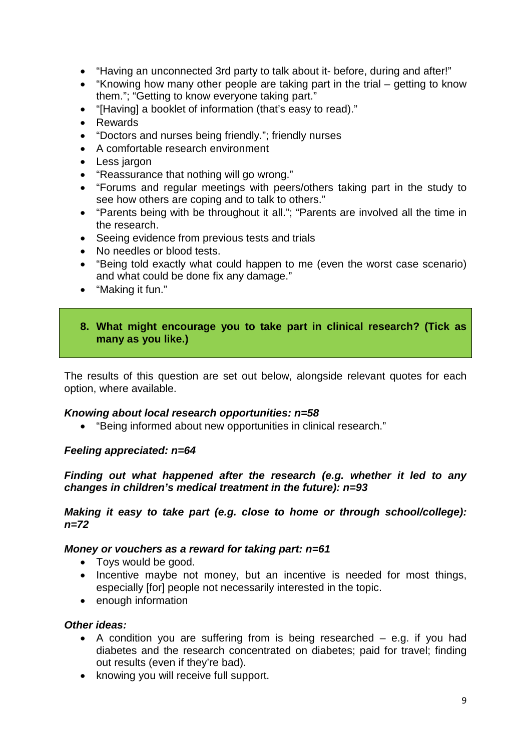- "Having an unconnected 3rd party to talk about it- before, during and after!"
- "Knowing how many other people are taking part in the trial getting to know them."; "Getting to know everyone taking part."
- "[Having] a booklet of information (that's easy to read)."
- Rewards
- "Doctors and nurses being friendly."; friendly nurses
- A comfortable research environment
- Less jargon
- "Reassurance that nothing will go wrong."
- "Forums and regular meetings with peers/others taking part in the study to see how others are coping and to talk to others."
- "Parents being with be throughout it all."; "Parents are involved all the time in the research.
- Seeing evidence from previous tests and trials
- No needles or blood tests.
- "Being told exactly what could happen to me (even the worst case scenario) and what could be done fix any damage."
- "Making it fun."

### **8. What might encourage you to take part in clinical research? (Tick as many as you like.)**

The results of this question are set out below, alongside relevant quotes for each option, where available.

#### *Knowing about local research opportunities: n=58*

• "Being informed about new opportunities in clinical research."

#### *Feeling appreciated: n=64*

*Finding out what happened after the research (e.g. whether it led to any changes in children's medical treatment in the future): n=93*

#### *Making it easy to take part (e.g. close to home or through school/college): n=72*

#### *Money or vouchers as a reward for taking part: n=61*

- Toys would be good.
- Incentive maybe not money, but an incentive is needed for most things, especially [for] people not necessarily interested in the topic.
- enough information

#### *Other ideas:*

- A condition you are suffering from is being researched e.g. if you had diabetes and the research concentrated on diabetes; paid for travel; finding out results (even if they're bad).
- knowing you will receive full support.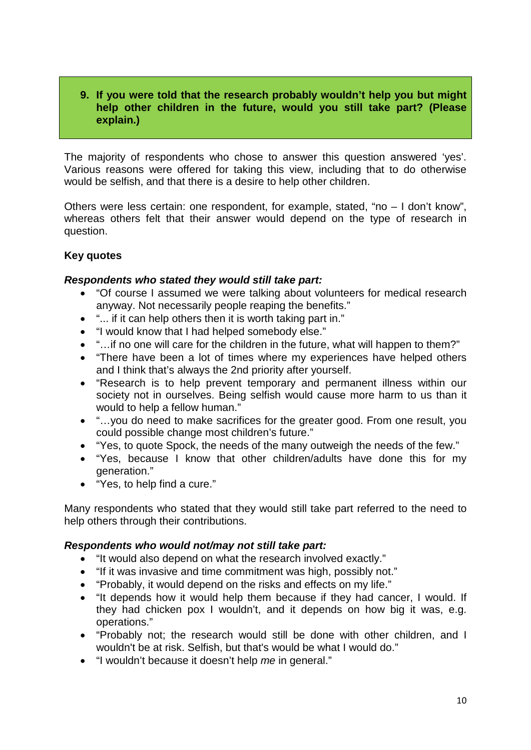### **9. If you were told that the research probably wouldn't help you but might help other children in the future, would you still take part? (Please explain.)**

The majority of respondents who chose to answer this question answered 'yes'. Various reasons were offered for taking this view, including that to do otherwise would be selfish, and that there is a desire to help other children.

Others were less certain: one respondent, for example, stated, "no – I don't know", whereas others felt that their answer would depend on the type of research in question.

## **Key quotes**

#### *Respondents who stated they would still take part:*

- "Of course I assumed we were talking about volunteers for medical research anyway. Not necessarily people reaping the benefits."
- "... if it can help others then it is worth taking part in."
- "I would know that I had helped somebody else."
- "...if no one will care for the children in the future, what will happen to them?"
- "There have been a lot of times where my experiences have helped others and I think that's always the 2nd priority after yourself.
- "Research is to help prevent temporary and permanent illness within our society not in ourselves. Being selfish would cause more harm to us than it would to help a fellow human."
- "…you do need to make sacrifices for the greater good. From one result, you could possible change most children's future."
- "Yes, to quote Spock, the needs of the many outweigh the needs of the few."
- "Yes, because I know that other children/adults have done this for my generation."
- "Yes, to help find a cure."

Many respondents who stated that they would still take part referred to the need to help others through their contributions.

#### *Respondents who would not/may not still take part:*

- "It would also depend on what the research involved exactly."
- "If it was invasive and time commitment was high, possibly not."
- "Probably, it would depend on the risks and effects on my life."
- "It depends how it would help them because if they had cancer, I would. If they had chicken pox I wouldn't, and it depends on how big it was, e.g. operations."
- "Probably not; the research would still be done with other children, and I wouldn't be at risk. Selfish, but that's would be what I would do."
- "I wouldn't because it doesn't help *me* in general."